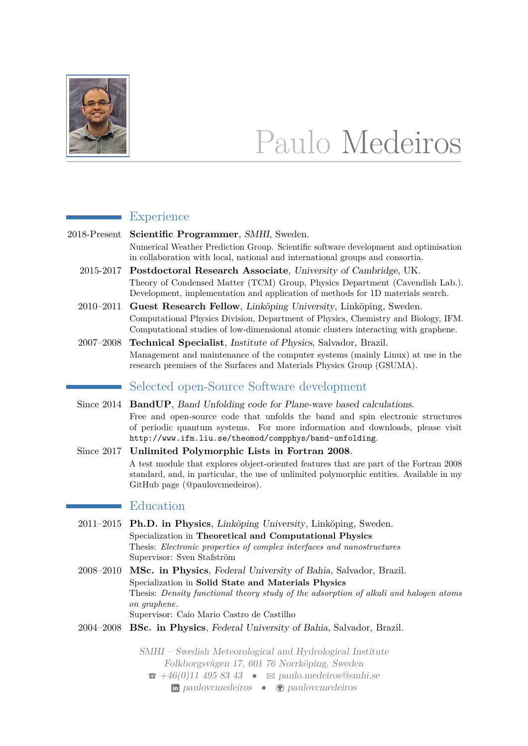

# Paulo Medeiros

## **Experience**

2018-Present **Scientific Programmer**, SMHI, Sweden. Numerical Weather Prediction Group. Scientific software development and optimisation in collaboration with local, national and international groups and consortia.

- 2015-2017 **Postdoctoral Research Associate**, University of Cambridge, UK. Theory of Condensed Matter (TCM) Group, Physics Department (Cavendish Lab.). Development, implementation and application of methods for 1D materials search.
- 2010–2011 **Guest Research Fellow**, Linköping University, Linköping, Sweden. Computational Physics Division, Department of Physics, Chemistry and Biology, IFM. Computational studies of low-dimensional atomic clusters interacting with graphene.
- 2007–2008 **Technical Specialist**, Institute of Physics, Salvador, Brazil. Management and maintenance of the computer systems (mainly Linux) at use in the research premises of the Surfaces and Materials Physics Group (GSUMA).

# Selected open-Source Software development

- Since 2014 **BandUP**, Band Unfolding code for Plane-wave based calculations. Free and open-source code that unfolds the band and spin electronic structures of periodic quantum systems. For more information and downloads, please visit <http://www.ifm.liu.se/theomod/compphys/band-unfolding>.
- Since 2017 **Unlimited Polymorphic Lists in Fortran 2008**. A test module that explores object-oriented features that are part of the Fortran 2008 standard, and, in particular, the use of unlimited polymorphic entities. Available in my GitHub page [\(@paulovcmedeiros\)](https://github.com/paulovcmedeiros).

# Education

- 2011–2015 **Ph.D. in Physics**, Linköping University, Linköping, Sweden. Specialization in **Theoretical and Computational Physics** Thesis: *Electronic properties of complex interfaces and nanostructures* Supervisor: Sven Stafström
- 2008–2010 **MSc. in Physics**, Federal University of Bahia, Salvador, Brazil. Specialization in **Solid State and Materials Physics** Thesis: *Density functional theory study of the adsorption of alkali and halogen atoms on graphene.* Supervisor: Caio Mario Castro de Castilho
- 2004–2008 **BSc. in Physics**, Federal University of Bahia, Salvador, Brazil.

SMHI – Swedish Meteorological and Hydrological Institute Folkborgsvägen 17, 601 76 Norrköping, Sweden  $\bullet$  [+46\(0\)11 495 83 43](tel:+46114958343)  $\bullet$   $\boxtimes$  [paulo.medeiros@smhi.se](mailto:paulo.medeiros@smhi.se) in [paulovcmedeiros](http://www.github.com/paulovcmedeiros) •  $\bigoplus$  paulovcmedeiros